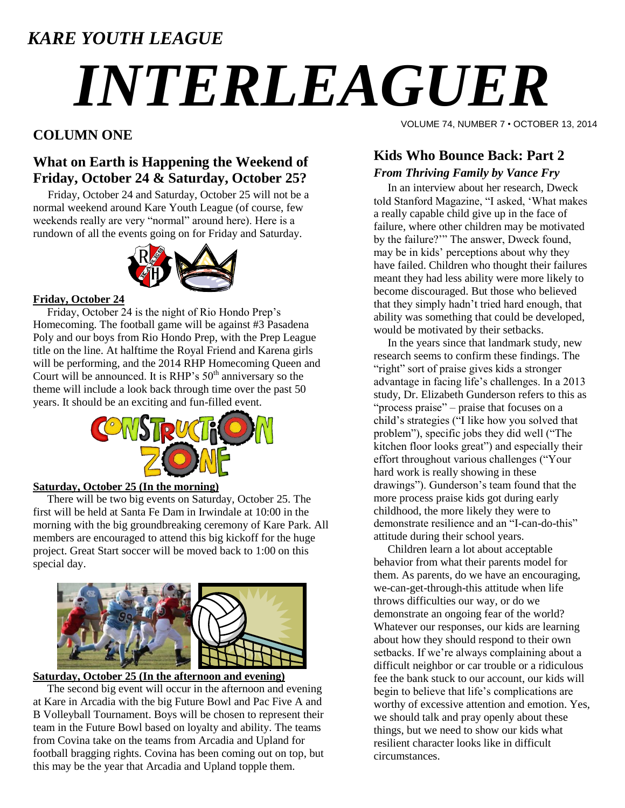# *KARE YOUTH LEAGUE*

# *INTERLEAGUER*

# **COLUMN ONE**

## **What on Earth is Happening the Weekend of Friday, October 24 & Saturday, October 25?**

Friday, October 24 and Saturday, October 25 will not be a normal weekend around Kare Youth League (of course, few weekends really are very "normal" around here). Here is a rundown of all the events going on for Friday and Saturday.



#### **Friday, October 24**

 Friday, October 24 is the night of Rio Hondo Prep"s Homecoming. The football game will be against #3 Pasadena Poly and our boys from Rio Hondo Prep, with the Prep League title on the line. At halftime the Royal Friend and Karena girls will be performing, and the 2014 RHP Homecoming Queen and Court will be announced. It is  $RHP's 50<sup>th</sup>$  anniversary so the theme will include a look back through time over the past 50 years. It should be an exciting and fun-filled event.



#### **Saturday, October 25 (In the morning)**

 There will be two big events on Saturday, October 25. The first will be held at Santa Fe Dam in Irwindale at 10:00 in the morning with the big groundbreaking ceremony of Kare Park. All members are encouraged to attend this big kickoff for the huge project. Great Start soccer will be moved back to 1:00 on this special day.



#### **Saturday, October 25 (In the afternoon and evening)**

 The second big event will occur in the afternoon and evening at Kare in Arcadia with the big Future Bowl and Pac Five A and B Volleyball Tournament. Boys will be chosen to represent their team in the Future Bowl based on loyalty and ability. The teams from Covina take on the teams from Arcadia and Upland for football bragging rights. Covina has been coming out on top, but this may be the year that Arcadia and Upland topple them.

VOLUME 74, NUMBER 7 • OCTOBER 13, 2014

### **Kids Who Bounce Back: Part 2** *From Thriving Family by Vance Fry*

 In an interview about her research, Dweck told Stanford Magazine, "I asked, "What makes a really capable child give up in the face of failure, where other children may be motivated by the failure?"" The answer, Dweck found, may be in kids" perceptions about why they have failed. Children who thought their failures meant they had less ability were more likely to become discouraged. But those who believed that they simply hadn"t tried hard enough, that ability was something that could be developed, would be motivated by their setbacks.

 In the years since that landmark study, new research seems to confirm these findings. The "right" sort of praise gives kids a stronger advantage in facing life"s challenges. In a 2013 study, Dr. Elizabeth Gunderson refers to this as "process praise" – praise that focuses on a child"s strategies ("I like how you solved that problem"), specific jobs they did well ("The kitchen floor looks great") and especially their effort throughout various challenges ("Your hard work is really showing in these drawings"). Gunderson"s team found that the more process praise kids got during early childhood, the more likely they were to demonstrate resilience and an "I-can-do-this" attitude during their school years.

 Children learn a lot about acceptable behavior from what their parents model for them. As parents, do we have an encouraging, we-can-get-through-this attitude when life throws difficulties our way, or do we demonstrate an ongoing fear of the world? Whatever our responses, our kids are learning about how they should respond to their own setbacks. If we're always complaining about a difficult neighbor or car trouble or a ridiculous fee the bank stuck to our account, our kids will begin to believe that life"s complications are worthy of excessive attention and emotion. Yes, we should talk and pray openly about these things, but we need to show our kids what resilient character looks like in difficult circumstances.